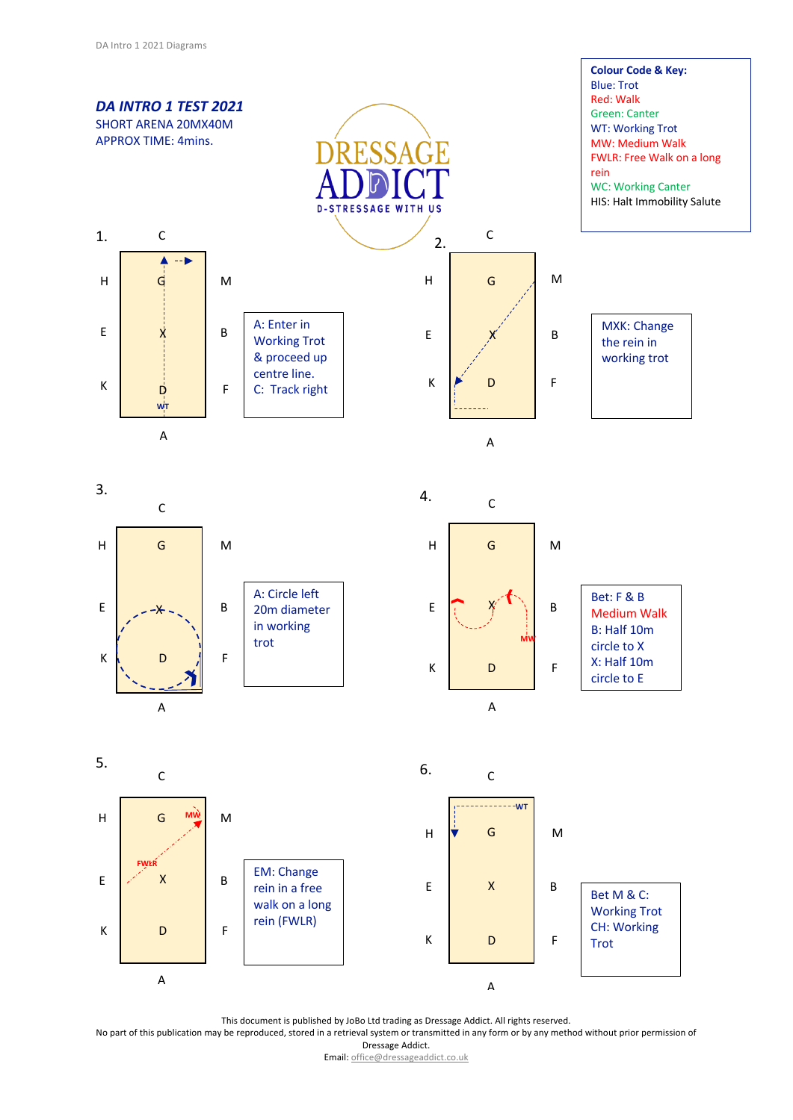

This document is published by JoBo Ltd trading as Dressage Addict. All rights reserved.

No part of this publication may be reproduced, stored in a retrieval system or transmitted in any form or by any method without prior permission of Dressage Addict.

Email: office@dressageaddict.co.uk